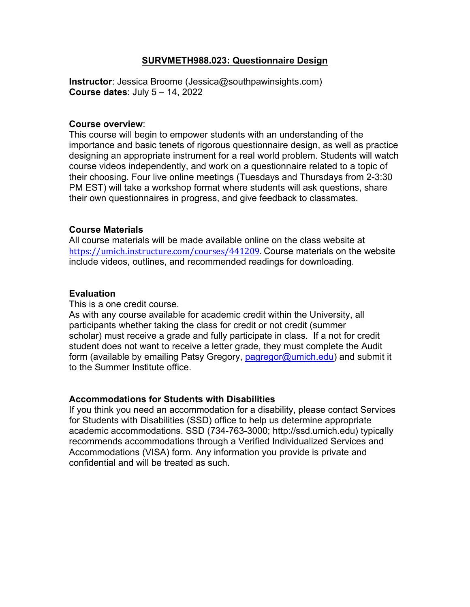#### **SURVMETH988.023: Questionnaire Design**

**Instructor**: Jessica Broome (Jessica@southpawinsights.com) **Course dates**: July 5 – 14, 2022

#### **Course overview**:

This course will begin to empower students with an understanding of the importance and basic tenets of rigorous questionnaire design, as well as practice designing an appropriate instrument for a real world problem. Students will watch course videos independently, and work on a questionnaire related to a topic of their choosing. Four live online meetings (Tuesdays and Thursdays from 2-3:30 PM EST) will take a workshop format where students will ask questions, share their own questionnaires in progress, and give feedback to classmates.

#### **Course Materials**

All course materials will be made available online on the class website at [https://umich.instructure.com/courses/441209.](https://umich.instructure.com/courses/441209) Course materials on the website include videos, outlines, and recommended readings for downloading.

#### **Evaluation**

This is a one credit course.

As with any course available for academic credit within the University, all participants whether taking the class for credit or not credit (summer scholar) must receive a grade and fully participate in class. If a not for credit student does not want to receive a letter grade, they must complete the Audit form (available by emailing Patsy Gregory, [pagregor@umich.edu\)](mailto:pagregor@umich.edu) and submit it to the Summer Institute office.

#### **Accommodations for Students with Disabilities**

If you think you need an accommodation for a disability, please contact Services for Students with Disabilities (SSD) office to help us determine appropriate academic accommodations. SSD (734-763-3000; http://ssd.umich.edu) typically recommends accommodations through a Verified Individualized Services and Accommodations (VISA) form. Any information you provide is private and confidential and will be treated as such.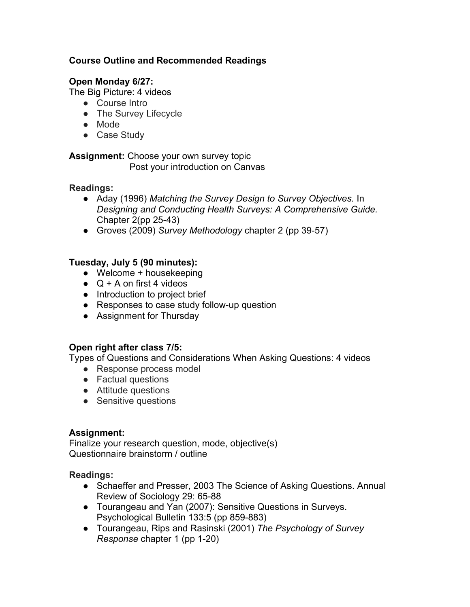# **Course Outline and Recommended Readings**

# **Open Monday 6/27:**

The Big Picture: 4 videos

- Course Intro
- The Survey Lifecycle
- Mode
- Case Study

**Assignment:** Choose your own survey topic Post your introduction on Canvas

## **Readings:**

- Aday (1996) *Matching the Survey Design to Survey Objectives.* In *Designing and Conducting Health Surveys: A Comprehensive Guide.*  Chapter 2(pp 25-43)
- Groves (2009) *Survey Methodology* chapter 2 (pp 39-57)

# **Tuesday, July 5 (90 minutes):**

- Welcome + housekeeping
- $\bullet$  Q + A on first 4 videos
- Introduction to project brief
- Responses to case study follow-up question
- Assignment for Thursday

## **Open right after class 7/5:**

Types of Questions and Considerations When Asking Questions: 4 videos

- Response process model
- Factual questions
- Attitude questions
- Sensitive questions

## **Assignment:**

Finalize your research question, mode, objective(s) Questionnaire brainstorm / outline

## **Readings:**

- Schaeffer and Presser, 2003 The Science of Asking Questions. Annual Review of Sociology 29: 65-88
- Tourangeau and Yan (2007): Sensitive Questions in Surveys. Psychological Bulletin 133:5 (pp 859-883)
- Tourangeau, Rips and Rasinski (2001) *The Psychology of Survey Response* chapter 1 (pp 1-20)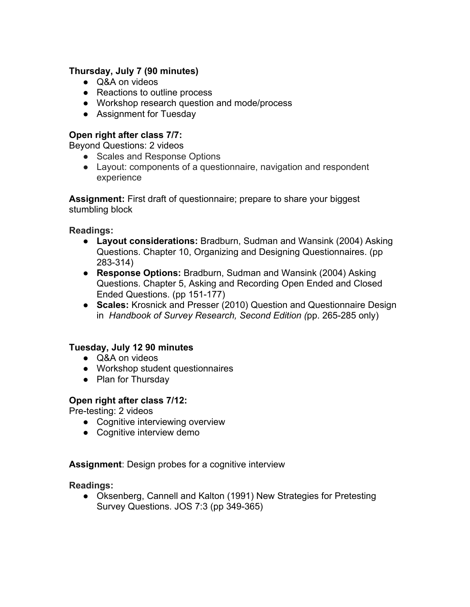# **Thursday, July 7 (90 minutes)**

- Q&A on videos
- Reactions to outline process
- Workshop research question and mode/process
- Assignment for Tuesday

## **Open right after class 7/7:**

Beyond Questions: 2 videos

- Scales and Response Options
- Layout: components of a questionnaire, navigation and respondent experience

**Assignment:** First draft of questionnaire; prepare to share your biggest stumbling block

## **Readings:**

- **Layout considerations:** Bradburn, Sudman and Wansink (2004) Asking Questions. Chapter 10, Organizing and Designing Questionnaires. (pp 283-314)
- **Response Options:** Bradburn, Sudman and Wansink (2004) Asking Questions. Chapter 5, Asking and Recording Open Ended and Closed Ended Questions. (pp 151-177)
- **Scales:** Krosnick and Presser (2010) Question and Questionnaire Design in *Handbook of Survey Research, Second Edition (*pp. 265-285 only)

# **Tuesday, July 12 90 minutes**

- Q&A on videos
- Workshop student questionnaires
- Plan for Thursday

## **Open right after class 7/12:**

Pre-testing: 2 videos

- Cognitive interviewing overview
- Cognitive interview demo

## **Assignment**: Design probes for a cognitive interview

## **Readings:**

● Oksenberg, Cannell and Kalton (1991) New Strategies for Pretesting Survey Questions. JOS 7:3 (pp 349-365)